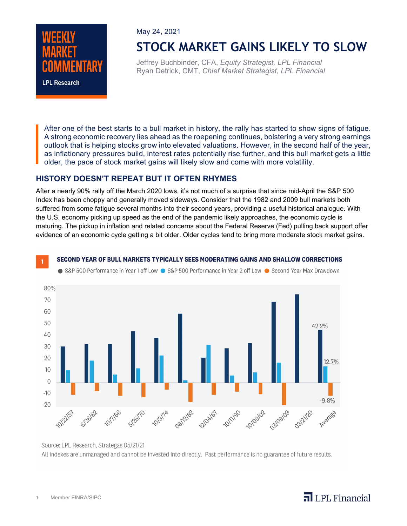

May 24, 2021

# **STOCK MARKET GAINS LIKELY TO SLOW**

Jeffrey Buchbinder, CFA, *Equity Strategist, LPL Financial* Ryan Detrick, CMT, *Chief Market Strategist, LPL Financial*

After one of the best starts to a bull market in history, the rally has started to show signs of fatigue. A strong economic recovery lies ahead as the roepening continues, bolstering a very strong earnings outlook that is helping stocks grow into elevated valuations. However, in the second half of the year, as inflationary pressures build, interest rates potentially rise further, and this bull market gets a little older, the pace of stock market gains will likely slow and come with more volatility.

#### **HISTORY DOESN'T REPEAT BUT IT OFTEN RHYMES**

After a nearly 90% rally off the March 2020 lows, it's not much of a surprise that since mid-April the S&P 500 Index has been choppy and generally moved sideways. Consider that the 1982 and 2009 bull markets both suffered from some fatigue several months into their second years, providing a useful historical analogue. With the U.S. economy picking up speed as the end of the pandemic likely approaches, the economic cycle is maturing. The pickup in inflation and related concerns about the Federal Reserve (Fed) pulling back support offer evidence of an economic cycle getting a bit older. Older cycles tend to bring more moderate stock market gains.

#### SECOND YEAR OF BULL MARKETS TYPICALLY SEES MODERATING GAINS AND SHALLOW CORRECTIONS



● S&P 500 Performance in Year 1 off Low ● S&P 500 Performance in Year 2 off Low ● Second Year Max Drawdown

## $\overline{\mathbf{a}}$  LPL Financial

Source: LPL Research, Strategas 05/21/21 All indexes are unmanaged and cannot be invested into directly. Past performance is no guarantee of future results.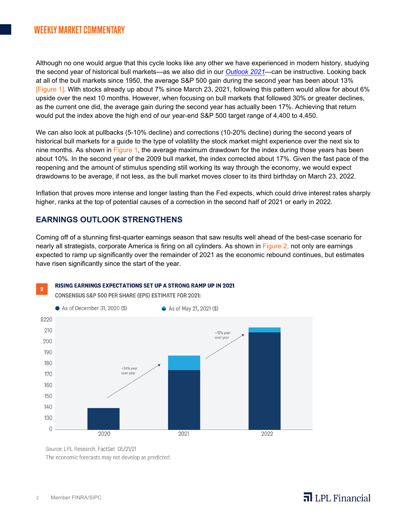### **WEEKLY MARKET COMMENTARY**

Although no one would argue that this cycle looks like any other we have experienced in modern history, studying the second year of historical bull markets—as we also did in our *[Outlook 2021](https://www.lpl.com/news-media/research-insights/lpl-financial-research-outlook-2021.html)*—can be instructive. Looking back at all of the bull markets since 1950, the average S&P 500 gain during the second year has been about 13% [Figure 1]. With stocks already up about 7% since March 23, 2021, following this pattern would allow for about 6% upside over the next 10 months. However, when focusing on bull markets that followed 30% or greater declines, as the current one did, the average gain during the second year has actually been 17%. Achieving that return would put the index above the high end of our year-end S&P 500 target range of 4,400 to 4,450.

We can also look at pullbacks (5-10% decline) and corrections (10-20% decline) during the second years of historical bull markets for a guide to the type of volatility the stock market might experience over the next six to nine months. As shown in Figure 1, the average maximum drawdown for the index during those years has been about 10%. In the second year of the 2009 bull market, the index corrected about 17%. Given the fast pace of the reopening and the amount of stimulus spending still working its way through the economy, we would expect drawdowns to be average, if not less, as the bull market moves closer to its third birthday on March 23, 2022.

Inflation that proves more intense and longer lasting than the Fed expects, which could drive interest rates sharply higher, ranks at the top of potential causes of a correction in the second half of 2021 or early in 2022.

#### **EARNINGS OUTLOOK STRENGTHENS**

Coming off of a stunning first-quarter earnings season that saw results well ahead of the best-case scenario for nearly all strategists, corporate America is firing on all cylinders. As shown in Figure 2, not only are earnings expected to ramp up significantly over the remainder of 2021 as the economic rebound continues, but estimates have risen significantly since the start of the year.

#### RISING EARNINGS EXPECTATIONS SET UP A STRONG RAMP UP IN 2021  $\overline{2}$

**CONSENSUS S&P 500 PER SHARE (EPS) ESTIMATE FOR 2021:** 



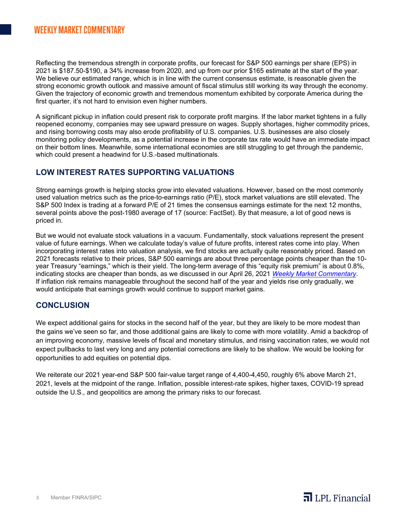Reflecting the tremendous strength in corporate profits, our forecast for S&P 500 earnings per share (EPS) in 2021 is \$187.50-\$190, a 34% increase from 2020, and up from our prior \$165 estimate at the start of the year. We believe our estimated range, which is in line with the current consensus estimate, is reasonable given the strong economic growth outlook and massive amount of fiscal stimulus still working its way through the economy. Given the trajectory of economic growth and tremendous momentum exhibited by corporate America during the first quarter, it's not hard to envision even higher numbers.

A significant pickup in inflation could present risk to corporate profit margins. If the labor market tightens in a fully reopened economy, companies may see upward pressure on wages. Supply shortages, higher commodity prices, and rising borrowing costs may also erode profitability of U.S. companies. U.S. businesses are also closely monitoring policy developments, as a potential increase in the corporate tax rate would have an immediate impact on their bottom lines. Meanwhile, some international economies are still struggling to get through the pandemic, which could present a headwind for U.S.-based multinationals.

#### **LOW INTEREST RATES SUPPORTING VALUATIONS**

Strong earnings growth is helping stocks grow into elevated valuations. However, based on the most commonly used valuation metrics such as the price-to-earnings ratio (P/E), stock market valuations are still elevated. The S&P 500 Index is trading at a forward P/E of 21 times the consensus earnings estimate for the next 12 months, several points above the post-1980 average of 17 (source: FactSet). By that measure, a lot of good news is priced in.

But we would not evaluate stock valuations in a vacuum. Fundamentally, stock valuations represent the present value of future earnings. When we calculate today's value of future profits, interest rates come into play. When incorporating interest rates into valuation analysis, we find stocks are actually quite reasonably priced. Based on 2021 forecasts relative to their prices, S&P 500 earnings are about three percentage points cheaper than the 10 year Treasury "earnings," which is their yield. The long-term average of this "equity risk premium" is about 0.8%, indicating stocks are cheaper than bonds, as we discussed in our April 26, 2021 *[Weekly Market Commentary](https://www.lpl.com/news-media/research-insights/weekly-market-commentary/is-all-good-stock-news-priced-in.html)*. If inflation risk remains manageable throughout the second half of the year and yields rise only gradually, we would anticipate that earnings growth would continue to support market gains.

#### **CONCLUSION**

We expect additional gains for stocks in the second half of the year, but they are likely to be more modest than the gains we've seen so far, and those additional gains are likely to come with more volatility. Amid a backdrop of an improving economy, massive levels of fiscal and monetary stimulus, and rising vaccination rates, we would not expect pullbacks to last very long and any potential corrections are likely to be shallow. We would be looking for opportunities to add equities on potential dips.

We reiterate our 2021 year-end S&P 500 fair-value target range of 4,400-4,450, roughly 6% above March 21, 2021, levels at the midpoint of the range. Inflation, possible interest-rate spikes, higher taxes, COVID-19 spread outside the U.S., and geopolitics are among the primary risks to our forecast.

 $\overline{\mathbf{a}}$  LPL Financial